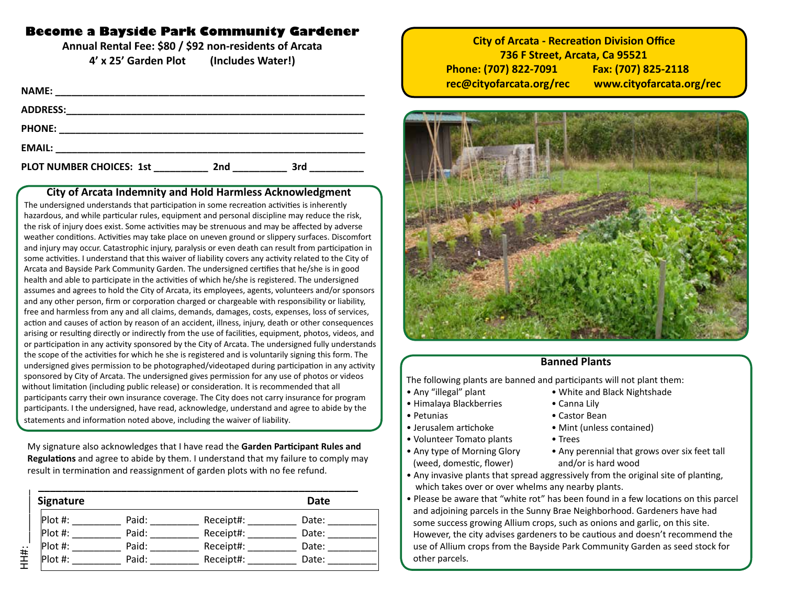### **Become a Bayside Park Community Gardener**

**Annual Rental Fee: \$80 / \$92 non-residents of Arcata 4' x 25' Garden Plot (Includes Water!)**

| <b>NAME:</b>                    |                 |     |  |
|---------------------------------|-----------------|-----|--|
| <b>ADDRESS:</b>                 |                 |     |  |
| <b>PHONE:</b>                   |                 |     |  |
| <b>EMAIL:</b>                   |                 |     |  |
| <b>PLOT NUMBER CHOICES: 1st</b> | 2 <sub>nd</sub> | 3rd |  |

#### **City of Arcata Indemnity and Hold Harmless Acknowledgment**

 The undersigned understands that participation in some recreation activities is inherently hazardous, and while particular rules, equipment and personal discipline may reduce the risk, the risk of injury does exist. Some activities may be strenuous and may be affected by adverse weather conditions. Activities may take place on uneven ground or slippery surfaces. Discomfort and injury may occur. Catastrophic injury, paralysis or even death can result from participation in some activities. I understand that this waiver of liability covers any activity related to the City of Arcata and Bayside Park Community Garden. The undersigned certifies that he/she is in good health and able to participate in the activities of which he/she is registered. The undersigned assumes and agrees to hold the City of Arcata, its employees, agents, volunteers and/or sponsors and any other person, firm or corporation charged or chargeable with responsibility or liability, free and harmless from any and all claims, demands, damages, costs, expenses, loss of services, action and causes of action by reason of an accident, illness, injury, death or other consequences arising or resulting directly or indirectly from the use of facilities, equipment, photos, videos, and or participation in any activity sponsored by the City of Arcata. The undersigned fully understands the scope of the activities for which he she is registered and is voluntarily signing this form. The undersigned gives permission to be photographed/videotaped during participation in any activity sponsored by City of Arcata. The undersigned gives permission for any use of photos or videos without limitation (including public release) or consideration. It is recommended that all participants carry their own insurance coverage. The City does not carry insurance for program participants. I the undersigned, have read, acknowledge, understand and agree to abide by the statements and information noted above, including the waiver of liability.

 My signature also acknowledges that I have read the **Garden Participant Rules and Regulations** and agree to abide by them. I understand that my failure to comply may result in termination and reassignment of garden plots with no fee refund.

| Signature |       |           | <b>Date</b> |
|-----------|-------|-----------|-------------|
| $Plot$ #: | Paid: | Receipt#: | Date:       |
| $Plot$ #: | Paid: | Receipt#: | Date:       |
| $Plot$ #: | Paid: | Receipt#: | Date:       |
| $Plot$ #: | Paid: | Receipt#: | Date:       |

**City of Arcata - Recreation Division Office 736 F Street, Arcata, Ca 95521 Phone: (707) 822-7091 Fax: (707) 825-2118 rec@cityofarcata.org/rec www.cityofarcata.org/rec**



#### **Banned Plants**

The following plants are banned and participants will not plant them:

- Any "illegal" plant White and Black Nightshade
- Himalaya Blackberries Canna Lily
- Petunias Castor Bean
- Jerusalem artichoke Mint (unless contained)
- Volunteer Tomato plants Trees
- (weed, domestic, flower) and/or is hard wood
- Any type of Morning Glory Any perennial that grows over six feet tall
- Any invasive plants that spread aggressively from the original site of planting, which takes over or over whelms any nearby plants.
- Please be aware that "white rot" has been found in a few locations on this parcel and adjoining parcels in the Sunny Brae Neighborhood. Gardeners have had some success growing Allium crops, such as onions and garlic, on this site. However, the city advises gardeners to be cautious and doesn't recommend the use of Allium crops from the Bayside Park Community Garden as seed stock for other parcels.